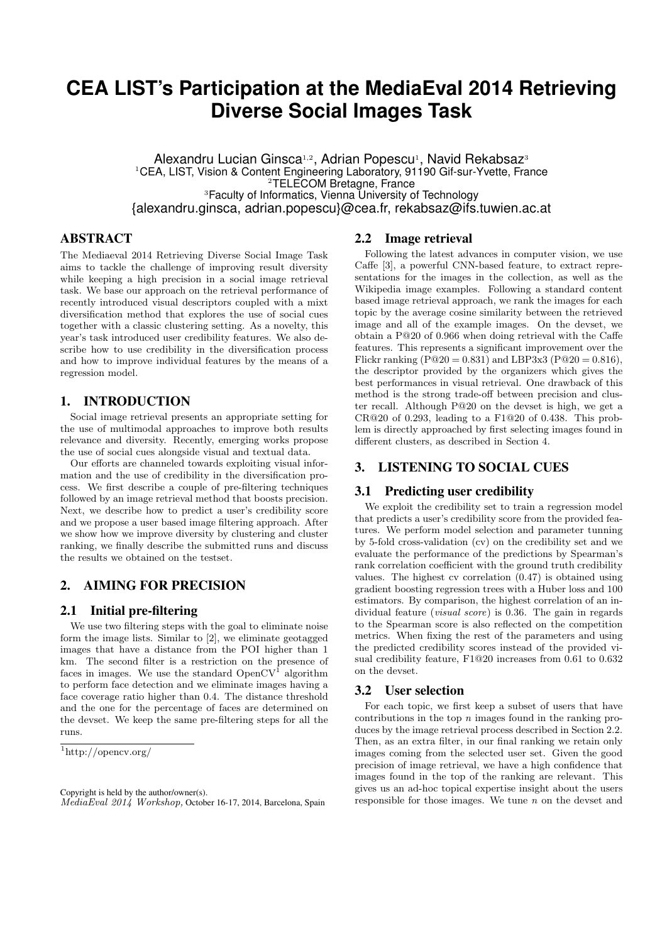# **CEA LIST's Participation at the MediaEval 2014 Retrieving Diverse Social Images Task**

Alexandru Lucian Ginsca<sup>1,2</sup>, Adrian Popescu<sup>1</sup>, Navid Rekabsaz<sup>3</sup> <sup>1</sup>CEA, LIST, Vision & Content Engineering Laboratory, 91190 Gif-sur-Yvette, France <sup>2</sup>TELECOM Bretagne, France <sup>3</sup>Faculty of Informatics, Vienna University of Technology {alexandru.ginsca, adrian.popescu}@cea.fr, rekabsaz@ifs.tuwien.ac.at

## ABSTRACT

The Mediaeval 2014 Retrieving Diverse Social Image Task aims to tackle the challenge of improving result diversity while keeping a high precision in a social image retrieval task. We base our approach on the retrieval performance of recently introduced visual descriptors coupled with a mixt diversification method that explores the use of social cues together with a classic clustering setting. As a novelty, this year's task introduced user credibility features. We also describe how to use credibility in the diversification process and how to improve individual features by the means of a regression model.

### 1. INTRODUCTION

Social image retrieval presents an appropriate setting for the use of multimodal approaches to improve both results relevance and diversity. Recently, emerging works propose the use of social cues alongside visual and textual data.

Our efforts are channeled towards exploiting visual information and the use of credibility in the diversification process. We first describe a couple of pre-filtering techniques followed by an image retrieval method that boosts precision. Next, we describe how to predict a user's credibility score and we propose a user based image filtering approach. After we show how we improve diversity by clustering and cluster ranking, we finally describe the submitted runs and discuss the results we obtained on the testset.

## 2. AIMING FOR PRECISION

#### 2.1 Initial pre-filtering

We use two filtering steps with the goal to eliminate noise form the image lists. Similar to [2], we eliminate geotagged images that have a distance from the POI higher than 1 km. The second filter is a restriction on the presence of faces in images. We use the standard  $OpenCV<sup>1</sup>$  algorithm to perform face detection and we eliminate images having a face coverage ratio higher than 0.4. The distance threshold and the one for the percentage of faces are determined on the devset. We keep the same pre-filtering steps for all the runs.

## 2.2 Image retrieval

Following the latest advances in computer vision, we use Caffe [3], a powerful CNN-based feature, to extract representations for the images in the collection, as well as the Wikipedia image examples. Following a standard content based image retrieval approach, we rank the images for each topic by the average cosine similarity between the retrieved image and all of the example images. On the devset, we obtain a P@20 of 0.966 when doing retrieval with the Caffe features. This represents a significant improvement over the Flickr ranking ( $P@20 = 0.831$ ) and LBP3x3 ( $P@20 = 0.816$ ), the descriptor provided by the organizers which gives the best performances in visual retrieval. One drawback of this method is the strong trade-off between precision and cluster recall. Although P@20 on the devset is high, we get a CR@20 of 0.293, leading to a F1@20 of 0.438. This problem is directly approached by first selecting images found in different clusters, as described in Section 4.

## 3. LISTENING TO SOCIAL CUES

#### 3.1 Predicting user credibility

We exploit the credibility set to train a regression model that predicts a user's credibility score from the provided features. We perform model selection and parameter tunning by 5-fold cross-validation (cv) on the credibility set and we evaluate the performance of the predictions by Spearman's rank correlation coefficient with the ground truth credibility values. The highest cv correlation (0.47) is obtained using gradient boosting regression trees with a Huber loss and 100 estimators. By comparison, the highest correlation of an individual feature *(visual score)* is 0.36. The gain in regards to the Spearman score is also reflected on the competition metrics. When fixing the rest of the parameters and using the predicted credibility scores instead of the provided visual credibility feature, F1@20 increases from 0.61 to 0.632 on the devset.

#### 3.2 User selection

For each topic, we first keep a subset of users that have contributions in the top  $n$  images found in the ranking produces by the image retrieval process described in Section 2.2. Then, as an extra filter, in our final ranking we retain only images coming from the selected user set. Given the good precision of image retrieval, we have a high confidence that images found in the top of the ranking are relevant. This gives us an ad-hoc topical expertise insight about the users responsible for those images. We tune  $n$  on the devset and

<sup>1</sup>http://opencv.org/

Copyright is held by the author/owner(s). MediaEval 2014 Workshop, October 16-17, 2014, Barcelona, Spain